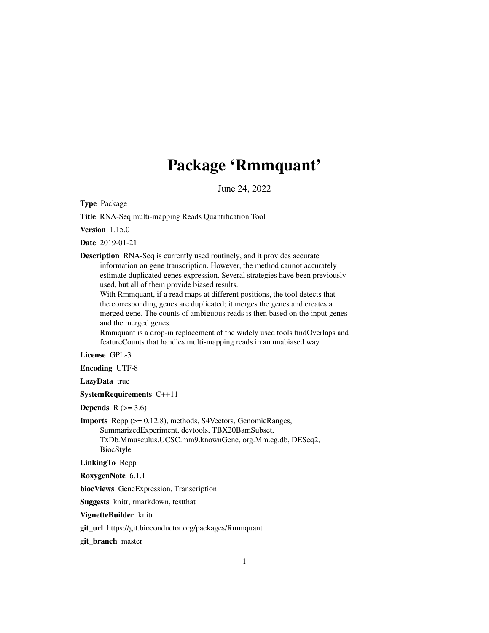# Package 'Rmmquant'

June 24, 2022

Type Package

Title RNA-Seq multi-mapping Reads Quantification Tool

Version 1.15.0

Date 2019-01-21

Description RNA-Seq is currently used routinely, and it provides accurate information on gene transcription. However, the method cannot accurately estimate duplicated genes expression. Several strategies have been previously used, but all of them provide biased results.

With Rmmquant, if a read maps at different positions, the tool detects that the corresponding genes are duplicated; it merges the genes and creates a merged gene. The counts of ambiguous reads is then based on the input genes and the merged genes.

Rmmquant is a drop-in replacement of the widely used tools findOverlaps and featureCounts that handles multi-mapping reads in an unabiased way.

License GPL-3

Encoding UTF-8

LazyData true

SystemRequirements C++11

Depends  $R$  ( $>= 3.6$ )

Imports Rcpp (>= 0.12.8), methods, S4Vectors, GenomicRanges, SummarizedExperiment, devtools, TBX20BamSubset, TxDb.Mmusculus.UCSC.mm9.knownGene, org.Mm.eg.db, DESeq2, BiocStyle

LinkingTo Rcpp

RoxygenNote 6.1.1

biocViews GeneExpression, Transcription

Suggests knitr, rmarkdown, testthat

VignetteBuilder knitr

git\_url https://git.bioconductor.org/packages/Rmmquant

git\_branch master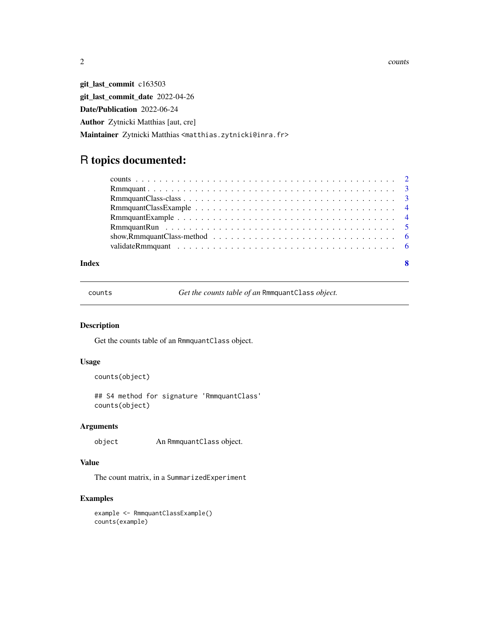$2 \cos \theta$  counts

git\_last\_commit c163503 git\_last\_commit\_date 2022-04-26 Date/Publication 2022-06-24 Author Zytnicki Matthias [aut, cre] Maintainer Zytnicki Matthias <matthias.zytnicki@inra.fr>

# R topics documented:

counts *Get the counts table of an* RmmquantClass *object.*

## Description

Get the counts table of an RmmquantClass object.

#### Usage

```
counts(object)
```
## S4 method for signature 'RmmquantClass' counts(object)

#### Arguments

object An RmmquantClass object.

#### Value

The count matrix, in a SummarizedExperiment

#### Examples

example <- RmmquantClassExample() counts(example)

<span id="page-1-0"></span>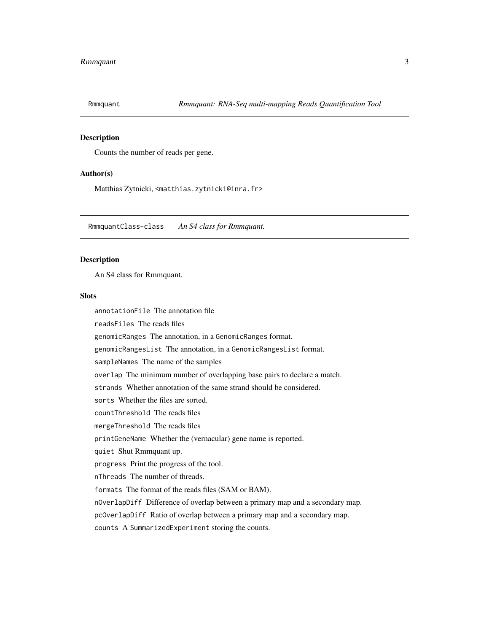<span id="page-2-0"></span>

#### **Description**

Counts the number of reads per gene.

#### Author(s)

Matthias Zytnicki, <matthias.zytnicki@inra.fr>

RmmquantClass-class *An S4 class for Rmmquant.*

#### Description

An S4 class for Rmmquant.

#### Slots

annotationFile The annotation file readsFiles The reads files genomicRanges The annotation, in a GenomicRanges format. genomicRangesList The annotation, in a GenomicRangesList format. sampleNames The name of the samples overlap The minimum number of overlapping base pairs to declare a match. strands Whether annotation of the same strand should be considered. sorts Whether the files are sorted. countThreshold The reads files mergeThreshold The reads files printGeneName Whether the (vernacular) gene name is reported. quiet Shut Rmmquant up. progress Print the progress of the tool. nThreads The number of threads. formats The format of the reads files (SAM or BAM). nOverlapDiff Difference of overlap between a primary map and a secondary map. pcOverlapDiff Ratio of overlap between a primary map and a secondary map. counts A SummarizedExperiment storing the counts.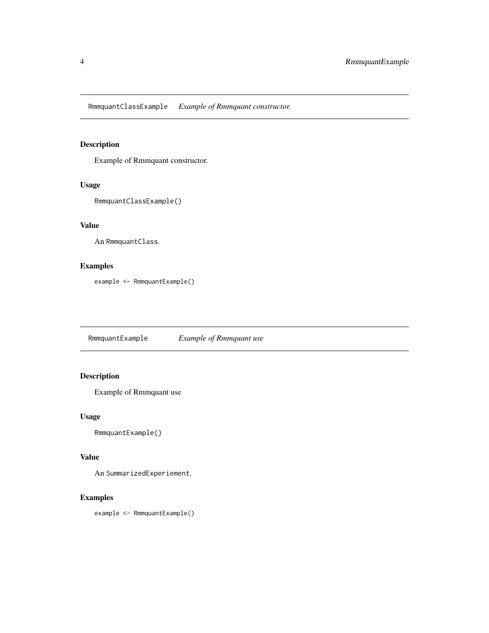<span id="page-3-0"></span>RmmquantClassExample *Example of Rmmquant constructor.*

#### Description

Example of Rmmquant constructor.

#### Usage

```
RmmquantClassExample()
```
#### Value

An RmmquantClass.

#### Examples

example <- RmmquantExample()

RmmquantExample *Example of Rmmquant use*

#### Description

Example of Rmmquant use

### Usage

```
RmmquantExample()
```
#### Value

An SummarizedExperiement.

#### Examples

example <- RmmquantExample()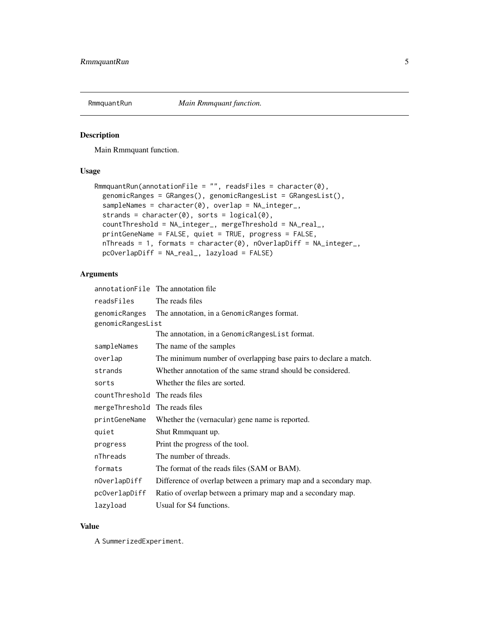<span id="page-4-0"></span>

#### Description

Main Rmmquant function.

#### Usage

```
RmmquantRun(annotationFile = "", readsFiles = character(0),
 genomicRanges = GRanges(), genomicRangesList = GRangesList(),sampleNames = character(0), overlap = NA_integer_,
  strands = character(0), sorts = logical(0),
  countThreshold = NA_integer_, mergeThreshold = NA_real_,
  printGeneName = FALSE, quiet = TRUE, progress = FALSE,
 nThreads = 1, formats = character(0), nOverlapDiff = NA_integer_,
 pcOverlapDiff = NA_real_, lazyload = FALSE)
```
#### Arguments

|                                 | annotationFile The annotation file                               |  |  |
|---------------------------------|------------------------------------------------------------------|--|--|
| readsFiles                      | The reads files                                                  |  |  |
| genomicRanges                   | The annotation, in a GenomicRanges format.                       |  |  |
| genomicRangesList               |                                                                  |  |  |
|                                 | The annotation, in a GenomicRangesList format.                   |  |  |
| sampleNames                     | The name of the samples                                          |  |  |
| overlap                         | The minimum number of overlapping base pairs to declare a match. |  |  |
| strands                         | Whether annotation of the same strand should be considered.      |  |  |
| sorts                           | Whether the files are sorted.                                    |  |  |
| count Threshold The reads files |                                                                  |  |  |
| mergeThreshold                  | The reads files                                                  |  |  |
| printGeneName                   | Whether the (vernacular) gene name is reported.                  |  |  |
| quiet                           | Shut Rmmquant up.                                                |  |  |
| progress                        | Print the progress of the tool.                                  |  |  |
| nThreads                        | The number of threads.                                           |  |  |
| formats                         | The format of the reads files (SAM or BAM).                      |  |  |
| nOverlapDiff                    | Difference of overlap between a primary map and a secondary map. |  |  |
| pc0verlapDiff                   | Ratio of overlap between a primary map and a secondary map.      |  |  |
| lazyload                        | Usual for S4 functions.                                          |  |  |

#### Value

A SummerizedExperiment.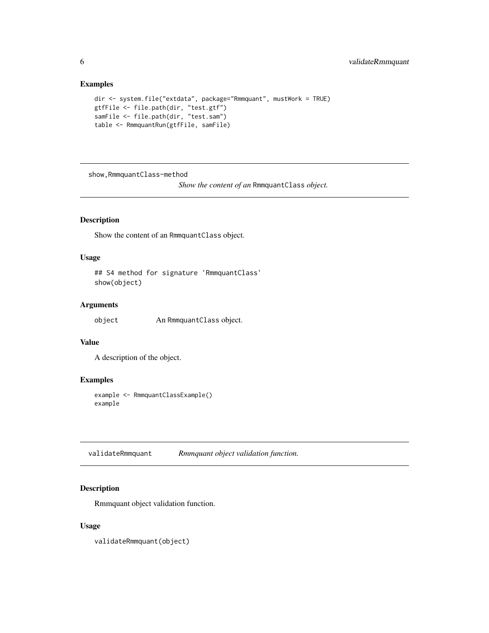#### <span id="page-5-0"></span>Examples

```
dir <- system.file("extdata", package="Rmmquant", mustWork = TRUE)
gtfFile <- file.path(dir, "test.gtf")
samFile <- file.path(dir, "test.sam")
table <- RmmquantRun(gtfFile, samFile)
```
show,RmmquantClass-method

*Show the content of an* RmmquantClass *object.*

#### Description

Show the content of an RmmquantClass object.

#### Usage

```
## S4 method for signature 'RmmquantClass'
show(object)
```
#### Arguments

object An RmmquantClass object.

#### Value

A description of the object.

#### Examples

```
example <- RmmquantClassExample()
example
```
validateRmmquant *Rmmquant object validation function.*

#### Description

Rmmquant object validation function.

#### Usage

validateRmmquant(object)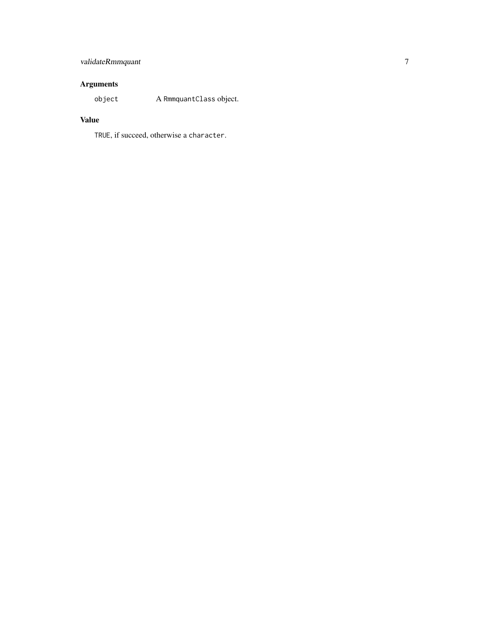# validateRmmquant 7

## Arguments

object A RmmquantClass object.

### Value

TRUE, if succeed, otherwise a character.